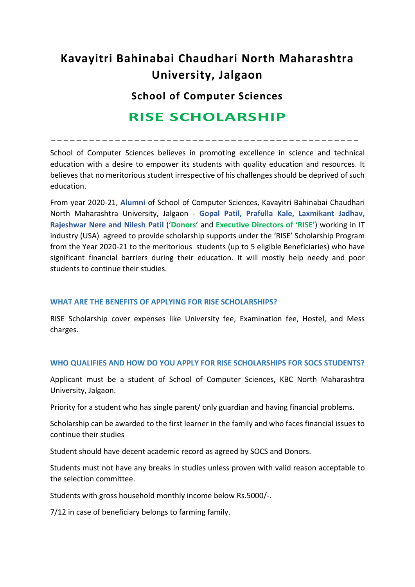# **Kavayitri Bahinabai Chaudhari North Maharashtra University, Jalgaon**

**School of Computer Sciences**

## **RISE SCHOLARSHIP**

------------------------------------------------

School of Computer Sciences believes in promoting excellence in science and technical education with a desire to empower its students with quality education and resources. It believes that no meritorious student irrespective of his challenges should be deprived of such education.

From year 2020-21, **Alumni** of School of Computer Sciences, Kavayitri Bahinabai Chaudhari North Maharashtra University, Jalgaon - **Gopal Patil, Prafulla Kale, Laxmikant Jadhav, Rajeshwar Nere and Nilesh Patil** ('**Donors**' and **Executive Directors of 'RISE'**) working in IT industry (USA) agreed to provide scholarship supports under the 'RISE' Scholarship Program from the Year 2020-21 to the meritorious students (up to 5 eligible Beneficiaries) who have significant financial barriers during their education. It will mostly help needy and poor students to continue their studies.

#### **WHAT ARE THE BENEFITS OF APPLYING FOR RISE SCHOLARSHIPS?**

RISE Scholarship cover expenses like University fee, Examination fee, Hostel, and Mess charges.

#### **WHO QUALIFIES AND HOW DO YOU APPLY FOR RISE SCHOLARSHIPS FOR SOCS STUDENTS?**

Applicant must be a student of School of Computer Sciences, KBC North Maharashtra University, Jalgaon.

Priority for a student who has single parent/ only guardian and having financial problems.

Scholarship can be awarded to the first learner in the family and who faces financial issues to continue their studies

Student should have decent academic record as agreed by SOCS and Donors.

Students must not have any breaks in studies unless proven with valid reason acceptable to the selection committee.

Students with gross household monthly income below Rs.5000/-.

7/12 in case of beneficiary belongs to farming family.